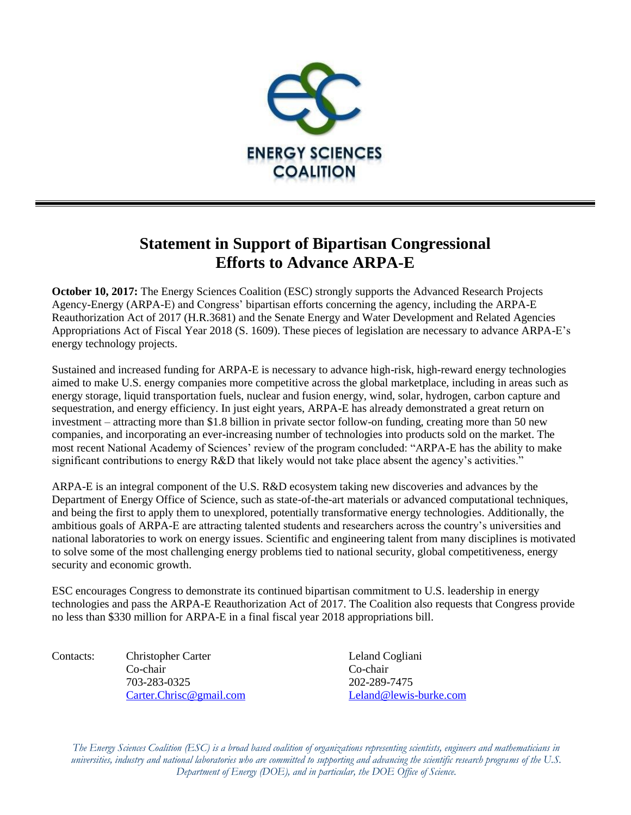

## **Statement in Support of Bipartisan Congressional Efforts to Advance ARPA-E**

**October 10, 2017:** The Energy Sciences Coalition (ESC) strongly supports the Advanced Research Projects Agency-Energy (ARPA-E) and Congress' bipartisan efforts concerning the agency, including the ARPA-E Reauthorization Act of 2017 (H.R.3681) and the Senate Energy and Water Development and Related Agencies Appropriations Act of Fiscal Year 2018 (S. 1609). These pieces of legislation are necessary to advance ARPA-E's energy technology projects.

Sustained and increased funding for ARPA-E is necessary to advance high-risk, high-reward energy technologies aimed to make U.S. energy companies more competitive across the global marketplace, including in areas such as energy storage, liquid transportation fuels, nuclear and fusion energy, wind, solar, hydrogen, carbon capture and sequestration, and energy efficiency. In just eight years, ARPA-E has already demonstrated a great return on investment – attracting more than \$1.8 billion in private sector follow-on funding, creating more than 50 new companies, and incorporating an ever-increasing number of technologies into products sold on the market. The most recent National Academy of Sciences' review of the program concluded: "ARPA-E has the ability to make significant contributions to energy R&D that likely would not take place absent the agency's activities."

ARPA-E is an integral component of the U.S. R&D ecosystem taking new discoveries and advances by the Department of Energy Office of Science, such as state-of-the-art materials or advanced computational techniques, and being the first to apply them to unexplored, potentially transformative energy technologies. Additionally, the ambitious goals of ARPA-E are attracting talented students and researchers across the country's universities and national laboratories to work on energy issues. Scientific and engineering talent from many disciplines is motivated to solve some of the most challenging energy problems tied to national security, global competitiveness, energy security and economic growth.

ESC encourages Congress to demonstrate its continued bipartisan commitment to U.S. leadership in energy technologies and pass the ARPA-E Reauthorization Act of 2017. The Coalition also requests that Congress provide no less than \$330 million for ARPA-E in a final fiscal year 2018 appropriations bill.

Contacts: Christopher Carter Leland Cogliani Co-chair Co-chair 703-283-0325 202-289-7475 [Carter.Chrisc@gmail.com](mailto:Carter.Chrisc@gmail.com) [Leland@lewis-burke.com](mailto:Leland@lewis-burke.com)

*The Energy Sciences Coalition (ESC) is a broad based coalition of organizations representing scientists, engineers and mathematicians in universities, industry and national laboratories who are committed to supporting and advancing the scientific research programs of the U.S. Department of Energy (DOE), and in particular, the DOE Office of Science.*